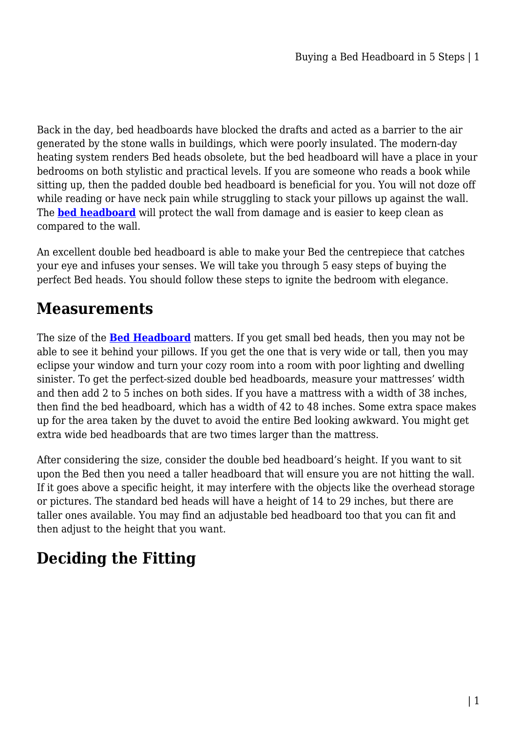Back in the day, bed headboards have blocked the drafts and acted as a barrier to the air generated by the stone walls in buildings, which were poorly insulated. The modern-day heating system renders Bed heads obsolete, but the bed headboard will have a place in your bedrooms on both stylistic and practical levels. If you are someone who reads a book while sitting up, then the padded double bed headboard is beneficial for you. You will not doze off while reading or have neck pain while struggling to stack your pillows up against the wall. The **[bed headboard](https://mattressoffers.com.au/beds/bed-headboards/)** will protect the wall from damage and is easier to keep clean as compared to the wall.

An excellent double bed headboard is able to make your Bed the centrepiece that catches your eye and infuses your senses. We will take you through 5 easy steps of buying the perfect Bed heads. You should follow these steps to ignite the bedroom with elegance.

### **Measurements**

The size of the **[Bed Headboard](https://mattressoffers.com.au/beds/bed-headboards/)** matters. If you get small bed heads, then you may not be able to see it behind your pillows. If you get the one that is very wide or tall, then you may eclipse your window and turn your cozy room into a room with poor lighting and dwelling sinister. To get the perfect-sized double bed headboards, measure your mattresses' width and then add 2 to 5 inches on both sides. If you have a mattress with a width of 38 inches, then find the bed headboard, which has a width of 42 to 48 inches. Some extra space makes up for the area taken by the duvet to avoid the entire Bed looking awkward. You might get extra wide bed headboards that are two times larger than the mattress.

After considering the size, consider the double bed headboard's height. If you want to sit upon the Bed then you need a taller headboard that will ensure you are not hitting the wall. If it goes above a specific height, it may interfere with the objects like the overhead storage or pictures. The standard bed heads will have a height of 14 to 29 inches, but there are taller ones available. You may find an adjustable bed headboard too that you can fit and then adjust to the height that you want.

# **Deciding the Fitting**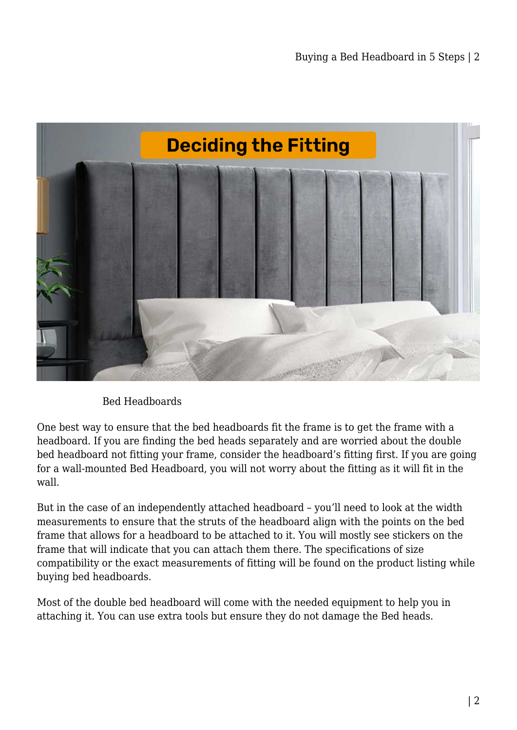

Bed Headboards

One best way to ensure that the bed headboards fit the frame is to get the frame with a headboard. If you are finding the bed heads separately and are worried about the double bed headboard not fitting your frame, consider the headboard's fitting first. If you are going for a wall-mounted Bed Headboard, you will not worry about the fitting as it will fit in the wall.

But in the case of an independently attached headboard – you'll need to look at the width measurements to ensure that the struts of the headboard align with the points on the bed frame that allows for a headboard to be attached to it. You will mostly see stickers on the frame that will indicate that you can attach them there. The specifications of size compatibility or the exact measurements of fitting will be found on the product listing while buying bed headboards.

Most of the double bed headboard will come with the needed equipment to help you in attaching it. You can use extra tools but ensure they do not damage the Bed heads.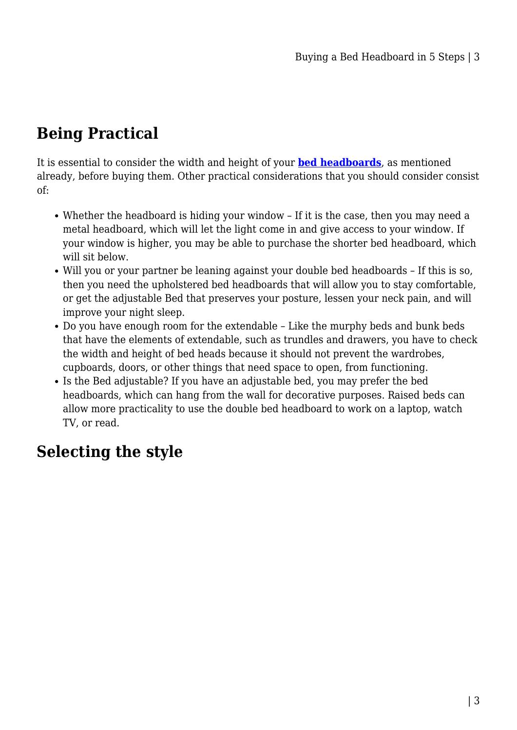# **Being Practical**

It is essential to consider the width and height of your **[bed headboards](https://mattressoffers.com.au/beds/bed-headboards/)**, as mentioned already, before buying them. Other practical considerations that you should consider consist of:

- Whether the headboard is hiding your window If it is the case, then you may need a metal headboard, which will let the light come in and give access to your window. If your window is higher, you may be able to purchase the shorter bed headboard, which will sit below.
- Will you or your partner be leaning against your double bed headboards If this is so, then you need the upholstered bed headboards that will allow you to stay comfortable, or get the adjustable Bed that preserves your posture, lessen your neck pain, and will improve your night sleep.
- Do you have enough room for the extendable Like the murphy beds and bunk beds that have the elements of extendable, such as trundles and drawers, you have to check the width and height of bed heads because it should not prevent the wardrobes, cupboards, doors, or other things that need space to open, from functioning.
- Is the Bed adjustable? If you have an adjustable bed, you may prefer the bed headboards, which can hang from the wall for decorative purposes. Raised beds can allow more practicality to use the double bed headboard to work on a laptop, watch TV, or read.

## **Selecting the style**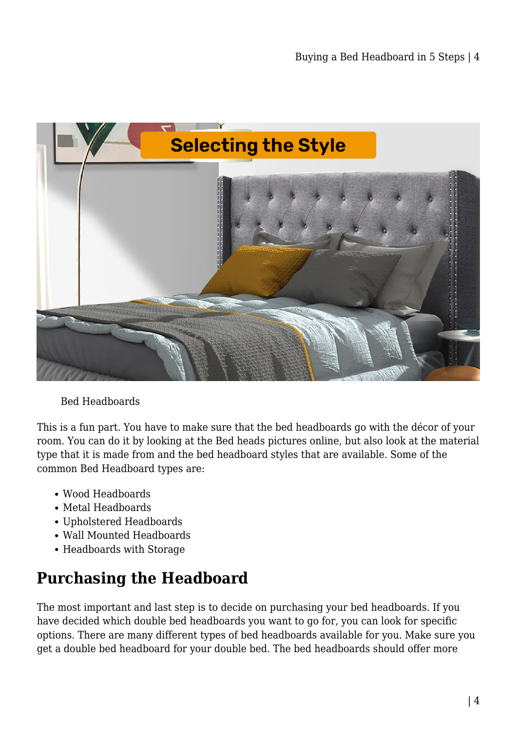

#### Bed Headboards

This is a fun part. You have to make sure that the bed headboards go with the décor of your room. You can do it by looking at the Bed heads pictures online, but also look at the material type that it is made from and the bed headboard styles that are available. Some of the common Bed Headboard types are:

- Wood Headboards
- Metal Headboards
- Upholstered Headboards
- Wall Mounted Headboards
- Headboards with Storage

# **Purchasing the Headboard**

The most important and last step is to decide on purchasing your bed headboards. If you have decided which double bed headboards you want to go for, you can look for specific options. There are many different types of bed headboards available for you. Make sure you get a double bed headboard for your double bed. The bed headboards should offer more